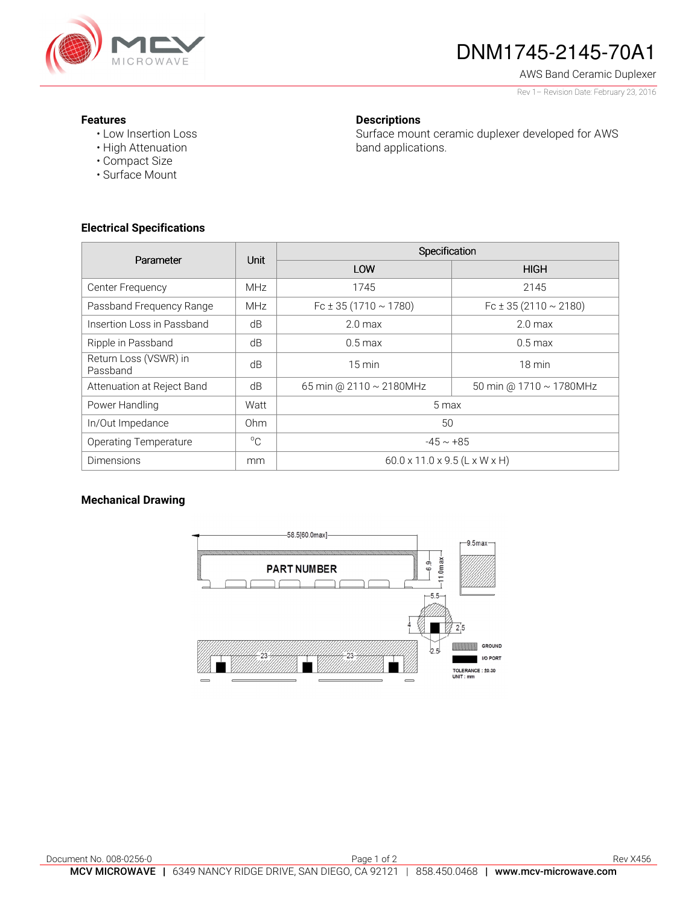

# DNM1745-2145-70A1

AWS Band Ceramic Duplexer

Rev 1– Revision Date: February 23, 2016

### **Features**

• Low Insertion Loss • High Attenuation

• Compact Size • Surface Mount

## **Descriptions**

Surface mount ceramic duplexer developed for AWS band applications.

**Electrical Specifications** 

| Parameter                         | Unit            | Specification                             |                                |
|-----------------------------------|-----------------|-------------------------------------------|--------------------------------|
|                                   |                 | LOW                                       | <b>HIGH</b>                    |
| Center Frequency                  | <b>MHz</b>      | 1745                                      | 2145                           |
| Passband Frequency Range          | <b>MHz</b>      | Fc $\pm$ 35 (1710 $\sim$ 1780)            | Fc $\pm$ 35 (2110 $\sim$ 2180) |
| Insertion Loss in Passband        | dB              | 2.0 <sub>max</sub>                        | 2.0 <sub>max</sub>             |
| Ripple in Passband                | dB              | $0.5 \,\mathrm{max}$                      | $0.5 \,\mathrm{max}$           |
| Return Loss (VSWR) in<br>Passband | dB              | $15 \text{ min}$                          | $18 \text{ min}$               |
| Attenuation at Reject Band        | dB              | 65 min @ 2110 ~ 2180MHz                   | 50 min @ $1710 \sim 1780$ MHz  |
| Power Handling                    | Watt            | 5 max                                     |                                |
| In/Out Impedance                  | 0 <sub>hm</sub> | 50                                        |                                |
| <b>Operating Temperature</b>      | $^{\circ}C$     | $-45 \sim +85$                            |                                |
| <b>Dimensions</b>                 | mm              | $60.0 \times 11.0 \times 9.5$ (L x W x H) |                                |

## **Mechanical Drawing**